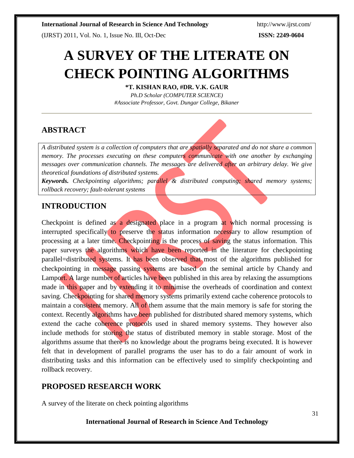**International Journal of Research in Science And Technology** <http://www.ijrst.com/>

(IJRST) 2011, Vol. No. 1, Issue No. III, Oct-Dec **ISSN: 2249-0604**

# **A SURVEY OF THE LITERATE ON CHECK POINTING ALGORITHMS**

**\*T. KISHAN RAO, #DR. V.K. GAUR**

*Ph.D Scholar (COMPUTER SCIENCE) #Associate Professor, Govt. Dungar College, Bikaner*

# **ABSTRACT**

*A distributed system is a collection of computers that are spatially separated and do not share a common memory. The processes executing on these computers communicate with one another by exchanging messages over communication channels. The messages are delivered after an arbitrary delay. We give theoretical foundations of distributed systems.*

*Keywords. Checkpointing algorithms; parallel & distributed computing; shared memory systems; rollback recovery; fault-tolerant systems*

# **INTRODUCTION**

Checkpoint is defined as a designated place in a program at which normal processing is interrupted specifically to preserve the status information necessary to allow resumption of processing at a later time. Checkpointing is the process of saving the status information. This paper surveys the algorithms which have been reported in the literature for checkpointing parallel=distributed systems. It has been observed that most of the algorithms published for checkpointing in message passing systems are based on the seminal article by Chandy and Lamport. A large number of articles have been published in this area by relaxing the assumptions made in this paper and by extending it to minimise the overheads of coordination and context saving. Checkpointing for shared memory systems primarily extend cache coherence protocols to maintain a consistent memory. All of them assume that the main memory is safe for storing the context. Recently algorithms have been published for distributed shared memory systems, which extend the cache coherence protocols used in shared memory systems. They however also include methods for storing the status of distributed memory in stable storage. Most of the algorithms assume that there is no knowledge about the programs being executed. It is however felt that in development of parallel programs the user has to do a fair amount of work in distributing tasks and this information can be effectively used to simplify checkpointing and rollback recovery.

# **PROPOSED RESEARCH WORK**

A survey of the literate on check pointing algorithms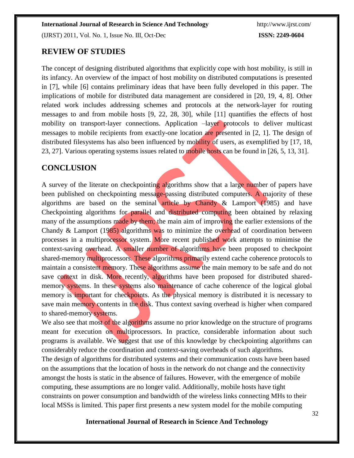(IJRST) 2011, Vol. No. 1, Issue No. III, Oct-Dec **ISSN: 2249-0604**

## **REVIEW OF STUDIES**

The concept of designing distributed algorithms that explicitly cope with host mobility, is still in its infancy. An overview of the impact of host mobility on distributed computations is presented in [7], while [6] contains preliminary ideas that have been fully developed in this paper. The implications of mobile for distributed data management are considered in [20, 19, 4, 8]. Other related work includes addressing schemes and protocols at the network-layer for routing messages to and from mobile hosts [9, 22, 28, 30], while [11] quantifies the effects of host mobility on transport-layer connections. Application –layer protocols to deliver multicast messages to mobile recipients from exactly-one location are presented in [2, 1]. The design of distributed filesystems has also been influenced by mobility of users, as exemplified by [17, 18, 23, 27]. Various operating systems issues related to mobile hosts can be found in [26, 5, 13, 31].

### **CONCLUSION**

A survey of the literate on checkpointing algorithms show that a large number of papers have been published on checkpointing message-passing distributed computers. A majority of these algorithms are based on the seminal article by Chandy & Lamport (1985) and have Checkpointing algorithms for parallel and distributed computing been obtained by relaxing many of the assumptions made by them; the main aim of improving the earlier extensions of the Chandy & Lamport (1985) algorithms was to minimize the overhead of coordination between processes in a multiprocessor system. More recent published work attempts to minimise the context-saving overhead. A smaller number of algorithms have been proposed to checkpoint shared-memory multiprocessors. These algorithms primarily extend cache coherence protocols to maintain a consistent memory. These algorithms assume the main memory to be safe and do not save context in disk. More recently, algorithms have been proposed for distributed sharedmemory systems. In these systems also maintenance of cache coherence of the logical global memory is important for checkpoints. As the physical memory is distributed it is necessary to save main memory contents in the disk. Thus context saving overhead is higher when compared to shared-memory systems.

We also see that most of the algorithms assume no prior knowledge on the structure of programs meant for execution on multiprocessors. In practice, considerable information about such programs is available. We suggest that use of this knowledge by checkpointing algorithms can considerably reduce the coordination and context-saving overheads of such algorithms.

The design of algorithms for distributed systems and their communication costs have been based on the assumptions that the location of hosts in the network do not change and the connectivity amongst the hosts is static in the absence of failures. However, with the emergence of mobile computing, these assumptions are no longer valid. Additionally, mobile hosts have tight constraints on power consumption and bandwidth of the wireless links connecting MHs to their local MSSs is limited. This paper first presents a new system model for the mobile computing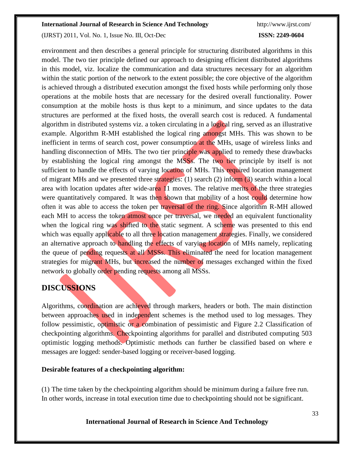#### **International Journal of Research in Science And Technology** <http://www.ijrst.com/>

(IJRST) 2011, Vol. No. 1, Issue No. III, Oct-Dec **ISSN: 2249-0604**

environment and then describes a general principle for structuring distributed algorithms in this model. The two tier principle defined our approach to designing efficient distributed algorithms in this model, viz. localize the communication and data structures necessary for an algorithm within the static portion of the network to the extent possible; the core objective of the algorithm is achieved through a distributed execution amongst the fixed hosts while performing only those operations at the mobile hosts that are necessary for the desired overall functionality. Power consumption at the mobile hosts is thus kept to a minimum, and since updates to the data structures are performed at the fixed hosts, the overall search cost is reduced. A fundamental algorithm in distributed systems viz. a token circulating in a logical ring, served as an illustrative example. Algorithm R-MH established the logical ring amongst MHs. This was shown to be inefficient in terms of search cost, power consumption at the MHs, usage of wireless links and handling disconnection of MHs. The two tier principle was applied to remedy these drawbacks by establishing the logical ring amongst the MSSs. The two tier principle by itself is not sufficient to handle the effects of varying location of MHs. This required location management of migrant MHs and we presented three strategies: (1) search (2) inform (3) search within a local area with location updates after wide-area 11 moves. The relative merits of the three strategies were quantitatively compared. It was then shown that mobility of a host could determine how often it was able to access the token per traversal of the ring. Since algorithm R-MH allowed each MH to access the token atmost once per traversal, we needed an equivalent functionality when the logical ring was shifted to the static segment. A scheme was presented to this end which was equally applicable to all three location management strategies. Finally, we considered an alternative approach to handling the effects of varying location of MHs namely, replicating the queue of pending requests at all MSSs. This eliminated the need for location management strategies for migrant MHs, but increased the number of messages exchanged within the fixed network to globally order pending requests among all MSSs.

## **DISCUSSIONS**

Algorithms, coordination are achieved through markers, headers or both. The main distinction between approaches used in independent schemes is the method used to log messages. They follow pessimistic, optimistic or a combination of pessimistic and Figure 2.2 Classification of checkpointing algorithms. Checkpointing algorithms for parallel and distributed computing 503 optimistic logging methods. Optimistic methods can further be classified based on where e messages are logged: sender-based logging or receiver-based logging.

#### **Desirable features of a checkpointing algorithm:**

(1) The time taken by the checkpointing algorithm should be minimum during a failure free run. In other words, increase in total execution time due to checkpointing should not be significant.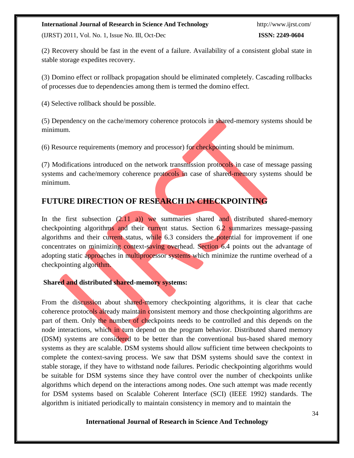#### **International Journal of Research in Science And Technology** <http://www.ijrst.com/>

(IJRST) 2011, Vol. No. 1, Issue No. III, Oct-Dec **ISSN: 2249-0604**

(2) Recovery should be fast in the event of a failure. Availability of a consistent global state in stable storage expedites recovery.

(3) Domino effect or rollback propagation should be eliminated completely. Cascading rollbacks of processes due to dependencies among them is termed the domino effect.

(4) Selective rollback should be possible.

(5) Dependency on the cache/memory coherence protocols in shared-memory systems should be minimum.

(6) Resource requirements (memory and processor) for checkpointing should be minimum.

(7) Modifications introduced on the network transmission protocols in case of message passing systems and cache/memory coherence protocols in case of shared-memory systems should be minimum.

# **FUTURE DIRECTION OF RESEARCH IN CHECKPOINTING**

In the first subsection  $(2.11 \text{ a}))$  we summaries shared and distributed shared-memory checkpointing algorithms and their current status. Section 6.2 summarizes message-passing algorithms and their current status, while 6.3 considers the potential for improvement if one concentrates on minimizing context-saving overhead. Section 6.4 points out the advantage of adopting static approaches in multiprocessor systems which minimize the runtime overhead of a checkpointing algorithm.

#### **Shared and distributed shared-memory systems:**

From the discussion about shared-memory checkpointing algorithms, it is clear that cache coherence protocols already maintain consistent memory and those checkpointing algorithms are part of them. Only the number of checkpoints needs to be controlled and this depends on the node interactions, which in turn depend on the program behavior. Distributed shared memory (DSM) systems are considered to be better than the conventional bus-based shared memory systems as they are scalable. DSM systems should allow sufficient time between checkpoints to complete the context-saving process. We saw that DSM systems should save the context in stable storage, if they have to withstand node failures. Periodic checkpointing algorithms would be suitable for DSM systems since they have control over the number of checkpoints unlike algorithms which depend on the interactions among nodes. One such attempt was made recently for DSM systems based on Scalable Coherent Interface (SCI) (IEEE 1992) standards. The algorithm is initiated periodically to maintain consistency in memory and to maintain the